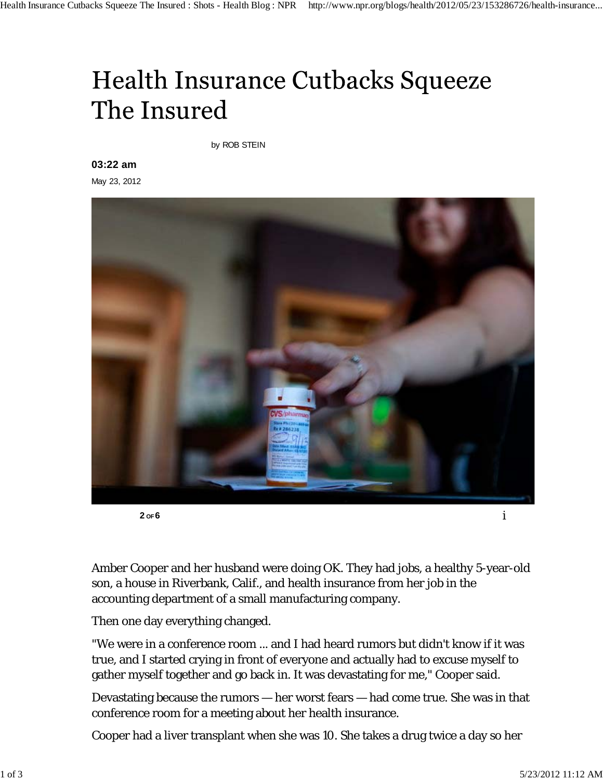## Health Insurance Cutbacks Squeeze The Insured

by ROB STEIN

## **03:22 am**

May 23, 2012



Amber Cooper and her husband were doing OK. They had jobs, a healthy 5-year-old son, a house in Riverbank, Calif., and health insurance from her job in the accounting department of a small manufacturing company.

Then one day everything changed.

"We were in a conference room ... and I had heard rumors but didn't know if it was true, and I started crying in front of everyone and actually had to excuse myself to gather myself together and go back in. It was devastating for me," Cooper said.

Devastating because the rumors — her worst fears — had come true. She was in that conference room for a meeting about her health insurance.

Cooper had a liver transplant when she was 10. She takes a drug twice a day so her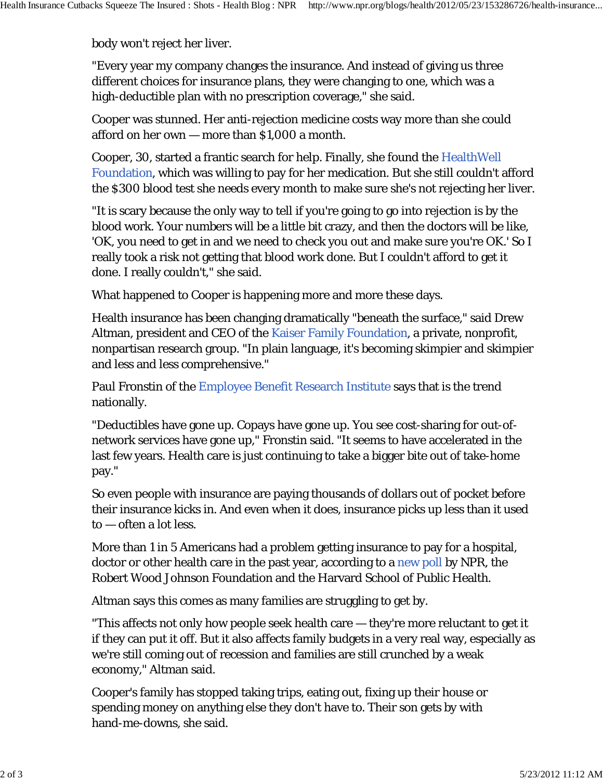body won't reject her liver.

"Every year my company changes the insurance. And instead of giving us three different choices for insurance plans, they were changing to one, which was a high-deductible plan with no prescription coverage," she said.

Cooper was stunned. Her anti-rejection medicine costs way more than she could afford on her own — more than \$1,000 a month.

Cooper, 30, started a frantic search for help. Finally, she found the HealthWell Foundation, which was willing to pay for her medication. But she still couldn't afford the \$300 blood test she needs every month to make sure she's not rejecting her liver.

"It is scary because the only way to tell if you're going to go into rejection is by the blood work. Your numbers will be a little bit crazy, and then the doctors will be like, 'OK, you need to get in and we need to check you out and make sure you're OK.' So I really took a risk not getting that blood work done. But I couldn't afford to get it done. I really couldn't," she said.

What happened to Cooper is happening more and more these days.

Health insurance has been changing dramatically "beneath the surface," said Drew Altman, president and CEO of the Kaiser Family Foundation, a private, nonprofit, nonpartisan research group. "In plain language, it's becoming skimpier and skimpier and less and less comprehensive."

Paul Fronstin of the Employee Benefit Research Institute says that is the trend nationally.

"Deductibles have gone up. Copays have gone up. You see cost-sharing for out-ofnetwork services have gone up," Fronstin said. "It seems to have accelerated in the last few years. Health care is just continuing to take a bigger bite out of take-home pay."

So even people with insurance are paying thousands of dollars out of pocket before their insurance kicks in. And even when it does, insurance picks up less than it used to — often a lot less.

More than 1 in 5 Americans had a problem getting insurance to pay for a hospital, doctor or other health care in the past year, according to a new poll by NPR, the Robert Wood Johnson Foundation and the Harvard School of Public Health.

Altman says this comes as many families are struggling to get by.

"This affects not only how people seek health care — they're more reluctant to get it if they can put it off. But it also affects family budgets in a very real way, especially as we're still coming out of recession and families are still crunched by a weak economy," Altman said.

Cooper's family has stopped taking trips, eating out, fixing up their house or spending money on anything else they don't have to. Their son gets by with hand-me-downs, she said.